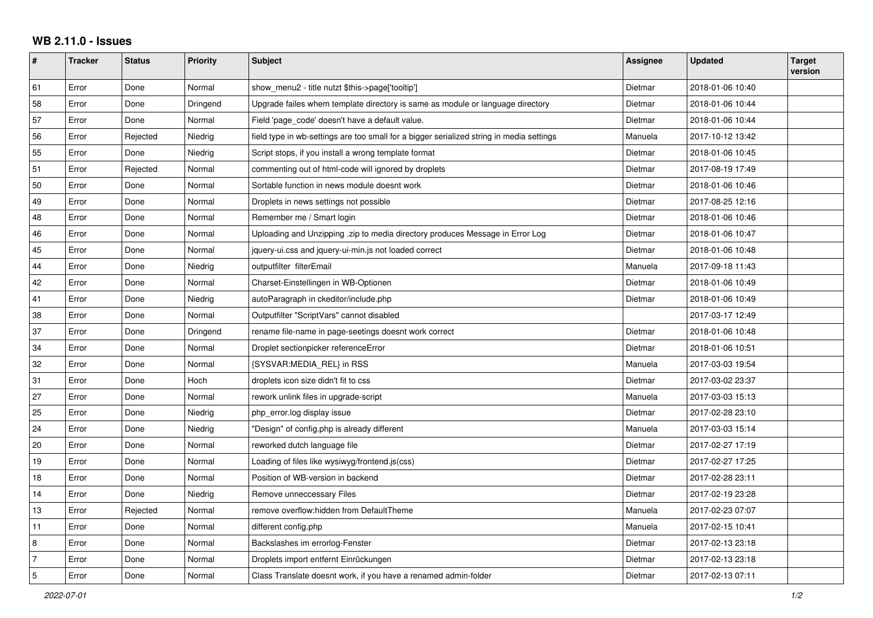## **WB 2.11.0 - Issues**

| #              | <b>Tracker</b> | <b>Status</b> | <b>Priority</b> | <b>Subject</b>                                                                           | <b>Assignee</b> | <b>Updated</b>   | <b>Target</b><br>version |
|----------------|----------------|---------------|-----------------|------------------------------------------------------------------------------------------|-----------------|------------------|--------------------------|
| 61             | Error          | Done          | Normal          | show_menu2 - title nutzt \$this->page['tooltip']                                         | Dietmar         | 2018-01-06 10:40 |                          |
| 58             | Error          | Done          | Dringend        | Upgrade failes whem template directory is same as module or language directory           | Dietmar         | 2018-01-06 10:44 |                          |
| 57             | Error          | Done          | Normal          | Field 'page_code' doesn't have a default value.                                          | Dietmar         | 2018-01-06 10:44 |                          |
| 56             | Error          | Rejected      | Niedrig         | field type in wb-settings are too small for a bigger serialized string in media settings | Manuela         | 2017-10-12 13:42 |                          |
| 55             | Error          | Done          | Niedrig         | Script stops, if you install a wrong template format                                     | Dietmar         | 2018-01-06 10:45 |                          |
| 51             | Error          | Rejected      | Normal          | commenting out of html-code will ignored by droplets                                     | Dietmar         | 2017-08-19 17:49 |                          |
| 50             | Error          | Done          | Normal          | Sortable function in news module doesnt work                                             | Dietmar         | 2018-01-06 10:46 |                          |
| 49             | Error          | Done          | Normal          | Droplets in news settings not possible                                                   | Dietmar         | 2017-08-25 12:16 |                          |
| 48             | Error          | Done          | Normal          | Remember me / Smart login                                                                | Dietmar         | 2018-01-06 10:46 |                          |
| 46             | Error          | Done          | Normal          | Uploading and Unzipping .zip to media directory produces Message in Error Log            | Dietmar         | 2018-01-06 10:47 |                          |
| 45             | Error          | Done          | Normal          | iquery-ui.css and jquery-ui-min.js not loaded correct                                    | Dietmar         | 2018-01-06 10:48 |                          |
| 44             | Error          | Done          | Niedrig         | outputfilter filterEmail                                                                 | Manuela         | 2017-09-18 11:43 |                          |
| 42             | Error          | Done          | Normal          | Charset-Einstellingen in WB-Optionen                                                     | Dietmar         | 2018-01-06 10:49 |                          |
| 41             | Error          | Done          | Niedrig         | autoParagraph in ckeditor/include.php                                                    | Dietmar         | 2018-01-06 10:49 |                          |
| 38             | Error          | Done          | Normal          | Outputfilter "ScriptVars" cannot disabled                                                |                 | 2017-03-17 12:49 |                          |
| 37             | Error          | Done          | Dringend        | rename file-name in page-seetings doesnt work correct                                    | Dietmar         | 2018-01-06 10:48 |                          |
| 34             | Error          | Done          | Normal          | Droplet sectionpicker referenceError                                                     | Dietmar         | 2018-01-06 10:51 |                          |
| 32             | Error          | Done          | Normal          | {SYSVAR:MEDIA_REL} in RSS                                                                | Manuela         | 2017-03-03 19:54 |                          |
| 31             | Error          | Done          | Hoch            | droplets icon size didn't fit to css                                                     | Dietmar         | 2017-03-02 23:37 |                          |
| 27             | Error          | Done          | Normal          | rework unlink files in upgrade-script                                                    | Manuela         | 2017-03-03 15:13 |                          |
| 25             | Error          | Done          | Niedrig         | php_error.log display issue                                                              | Dietmar         | 2017-02-28 23:10 |                          |
| 24             | Error          | Done          | Niedrig         | "Design" of config.php is already different                                              | Manuela         | 2017-03-03 15:14 |                          |
| 20             | Error          | Done          | Normal          | reworked dutch language file                                                             | Dietmar         | 2017-02-27 17:19 |                          |
| 19             | Error          | Done          | Normal          | Loading of files like wysiwyg/frontend.js(css)                                           | Dietmar         | 2017-02-27 17:25 |                          |
| 18             | Error          | Done          | Normal          | Position of WB-version in backend                                                        | Dietmar         | 2017-02-28 23:11 |                          |
| 14             | Error          | Done          | Niedrig         | Remove unneccessary Files                                                                | Dietmar         | 2017-02-19 23:28 |                          |
| 13             | Error          | Rejected      | Normal          | remove overflow:hidden from DefaultTheme                                                 | Manuela         | 2017-02-23 07:07 |                          |
| 11             | Error          | Done          | Normal          | different config.php                                                                     | Manuela         | 2017-02-15 10:41 |                          |
| 8              | Error          | Done          | Normal          | Backslashes im errorlog-Fenster                                                          | Dietmar         | 2017-02-13 23:18 |                          |
| $\overline{7}$ | Error          | Done          | Normal          | Droplets import entfernt Einrückungen                                                    | Dietmar         | 2017-02-13 23:18 |                          |
| $\sqrt{5}$     | Error          | Done          | Normal          | Class Translate doesnt work, if you have a renamed admin-folder                          | Dietmar         | 2017-02-13 07:11 |                          |